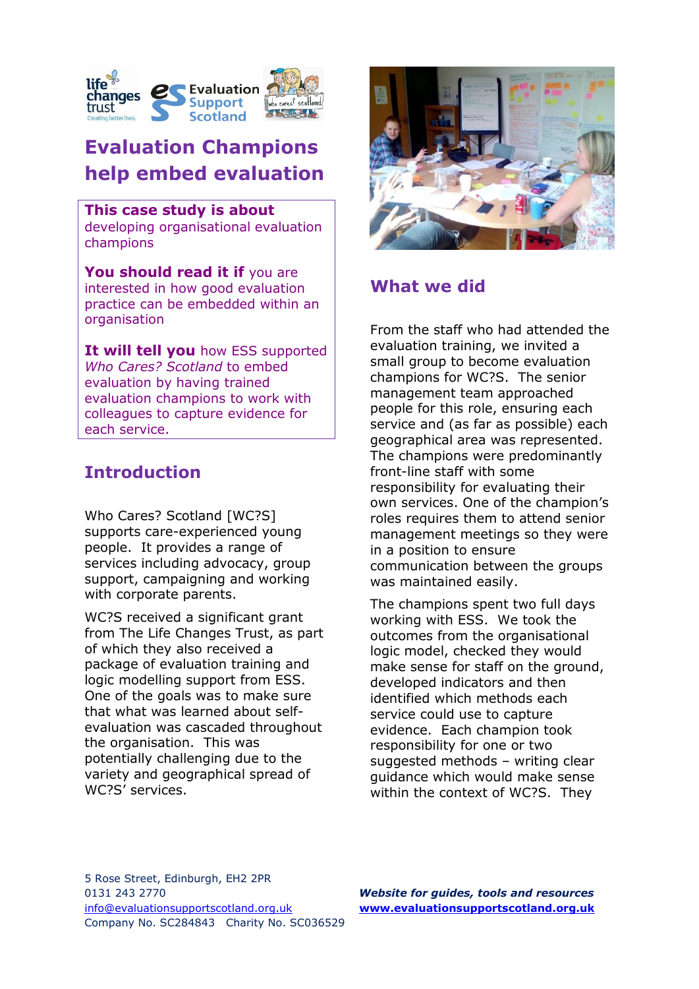

# **Evaluation Champions help embed evaluation**

#### **This case study is about**

developing organisational evaluation champions

You should read it if you are interested in how good evaluation practice can be embedded within an organisation

**It will tell you** how ESS supported *Who Cares? Scotland* to embed evaluation by having trained evaluation champions to work with colleagues to capture evidence for each service.

# **Introduction**

Who Cares? Scotland [WC?S] supports care-experienced young people. It provides a range of services including advocacy, group support, campaigning and working with corporate parents.

WC?S received a significant grant from The Life Changes Trust, as part of which they also received a package of evaluation training and logic modelling support from ESS. One of the goals was to make sure that what was learned about selfevaluation was cascaded throughout the organisation. This was potentially challenging due to the variety and geographical spread of WC?S' services.



## **What we did**

From the staff who had attended the evaluation training, we invited a small group to become evaluation champions for WC?S. The senior management team approached people for this role, ensuring each service and (as far as possible) each geographical area was represented. The champions were predominantly front-line staff with some responsibility for evaluating their own services. One of the champion's roles requires them to attend senior management meetings so they were in a position to ensure communication between the groups was maintained easily.

The champions spent two full days working with ESS. We took the outcomes from the organisational logic model, checked they would make sense for staff on the ground, developed indicators and then identified which methods each service could use to capture evidence. Each champion took responsibility for one or two suggested methods – writing clear guidance which would make sense within the context of WC?S. They

5 Rose Street, Edinburgh, EH2 2PR 0131 243 2770 *Website for guides, tools and resources* [info@evaluationsupportscotland.org.uk](mailto:info@evaluationsupportscotland.org.uk) **[www.evaluationsupportscotland.org.uk](http://www.evaluationsupportscotland.org.uk/)** Company No. SC284843 Charity No. SC036529